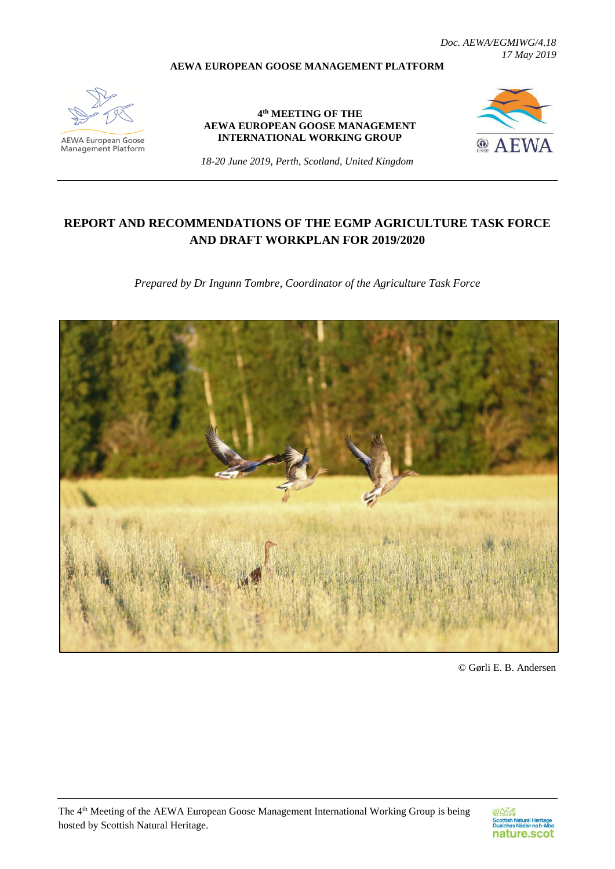*Doc. AEWA/EGMIWG/4.18 17 May 2019*

#### **AEWA EUROPEAN GOOSE MANAGEMENT PLATFORM**



**AEWA European Goose**<br>Management Platform

**4 th MEETING OF THE AEWA EUROPEAN GOOSE MANAGEMENT INTERNATIONAL WORKING GROUP**



*18-20 June 2019, Perth, Scotland, United Kingdom*

# **REPORT AND RECOMMENDATIONS OF THE EGMP AGRICULTURE TASK FORCE AND DRAFT WORKPLAN FOR 2019/2020**

*Prepared by Dr Ingunn Tombre, Coordinator of the Agriculture Task Force*



© Gørli E. B. Andersen

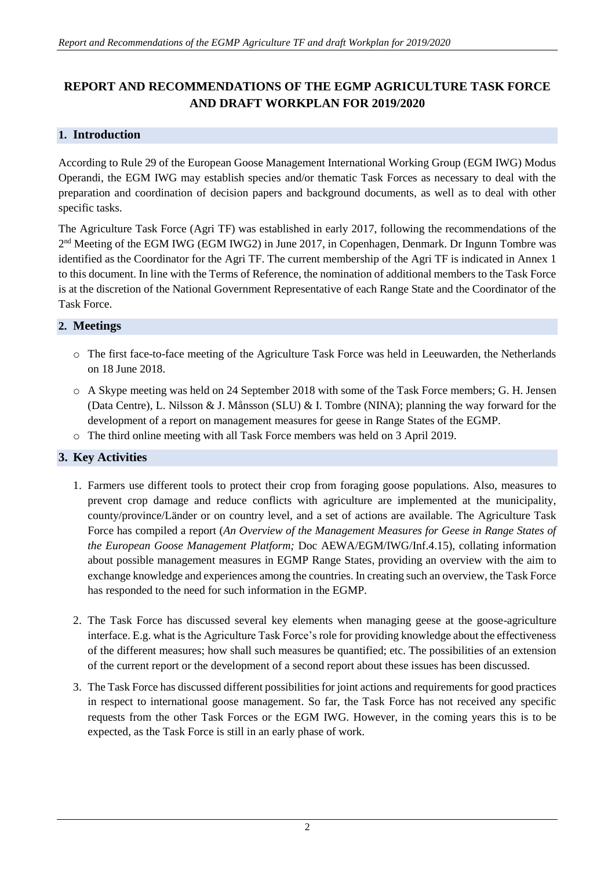# **REPORT AND RECOMMENDATIONS OF THE EGMP AGRICULTURE TASK FORCE AND DRAFT WORKPLAN FOR 2019/2020**

## **1. Introduction**

According to Rule 29 of the European Goose Management International Working Group (EGM IWG) Modus Operandi, the EGM IWG may establish species and/or thematic Task Forces as necessary to deal with the preparation and coordination of decision papers and background documents, as well as to deal with other specific tasks.

The Agriculture Task Force (Agri TF) was established in early 2017, following the recommendations of the 2<sup>nd</sup> Meeting of the EGM IWG (EGM IWG2) in June 2017, in Copenhagen, Denmark. Dr Ingunn Tombre was identified as the Coordinator for the Agri TF. The current membership of the Agri TF is indicated in Annex 1 to this document. In line with the Terms of Reference, the nomination of additional members to the Task Force is at the discretion of the National Government Representative of each Range State and the Coordinator of the Task Force.

### **2. Meetings**

- o The first face-to-face meeting of the Agriculture Task Force was held in Leeuwarden, the Netherlands on 18 June 2018.
- o A Skype meeting was held on 24 September 2018 with some of the Task Force members; G. H. Jensen (Data Centre), L. Nilsson & J. Månsson (SLU) & I. Tombre (NINA); planning the way forward for the development of a report on management measures for geese in Range States of the EGMP.
- o The third online meeting with all Task Force members was held on 3 April 2019.

# **3. Key Activities**

- 1. Farmers use different tools to protect their crop from foraging goose populations. Also, measures to prevent crop damage and reduce conflicts with agriculture are implemented at the municipality, county/province/Länder or on country level, and a set of actions are available. The Agriculture Task Force has compiled a report (*An Overview of the Management Measures for Geese in Range States of the European Goose Management Platform;* Doc AEWA/EGM/IWG/Inf.4.15), collating information about possible management measures in EGMP Range States, providing an overview with the aim to exchange knowledge and experiences among the countries. In creating such an overview, the Task Force has responded to the need for such information in the EGMP.
- 2. The Task Force has discussed several key elements when managing geese at the goose-agriculture interface. E.g. what is the Agriculture Task Force's role for providing knowledge about the effectiveness of the different measures; how shall such measures be quantified; etc. The possibilities of an extension of the current report or the development of a second report about these issues has been discussed.
- 3. The Task Force has discussed different possibilities for joint actions and requirements for good practices in respect to international goose management. So far, the Task Force has not received any specific requests from the other Task Forces or the EGM IWG. However, in the coming years this is to be expected, as the Task Force is still in an early phase of work.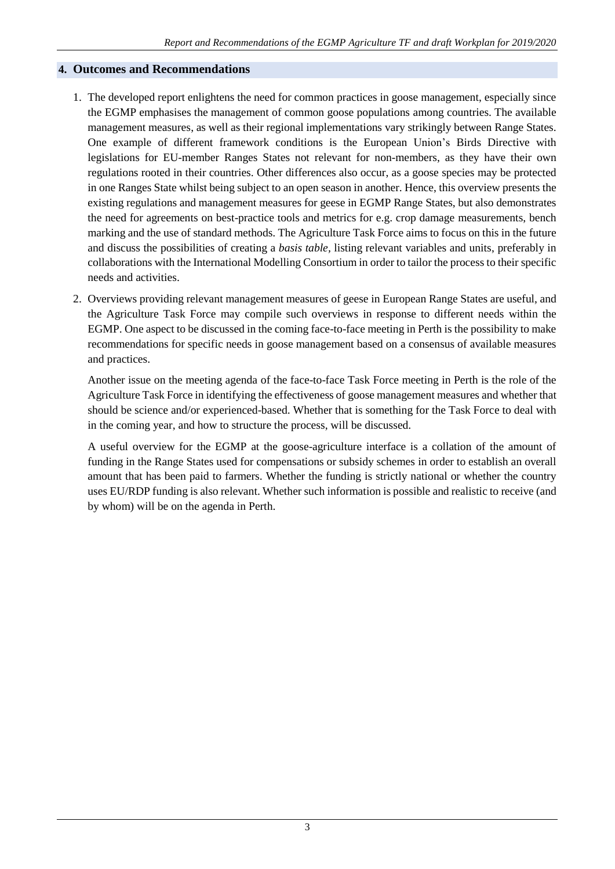### **4. Outcomes and Recommendations**

- 1. The developed report enlightens the need for common practices in goose management, especially since the EGMP emphasises the management of common goose populations among countries. The available management measures, as well as their regional implementations vary strikingly between Range States. One example of different framework conditions is the European Union's Birds Directive with legislations for EU-member Ranges States not relevant for non-members, as they have their own regulations rooted in their countries. Other differences also occur, as a goose species may be protected in one Ranges State whilst being subject to an open season in another. Hence, this overview presents the existing regulations and management measures for geese in EGMP Range States, but also demonstrates the need for agreements on best-practice tools and metrics for e.g. crop damage measurements, bench marking and the use of standard methods. The Agriculture Task Force aims to focus on this in the future and discuss the possibilities of creating a *basis table,* listing relevant variables and units, preferably in collaborations with the International Modelling Consortium in order to tailor the process to their specific needs and activities.
- 2. Overviews providing relevant management measures of geese in European Range States are useful, and the Agriculture Task Force may compile such overviews in response to different needs within the EGMP. One aspect to be discussed in the coming face-to-face meeting in Perth is the possibility to make recommendations for specific needs in goose management based on a consensus of available measures and practices.

Another issue on the meeting agenda of the face-to-face Task Force meeting in Perth is the role of the Agriculture Task Force in identifying the effectiveness of goose management measures and whether that should be science and/or experienced-based. Whether that is something for the Task Force to deal with in the coming year, and how to structure the process, will be discussed.

A useful overview for the EGMP at the goose-agriculture interface is a collation of the amount of funding in the Range States used for compensations or subsidy schemes in order to establish an overall amount that has been paid to farmers. Whether the funding is strictly national or whether the country uses EU/RDP funding is also relevant. Whether such information is possible and realistic to receive (and by whom) will be on the agenda in Perth.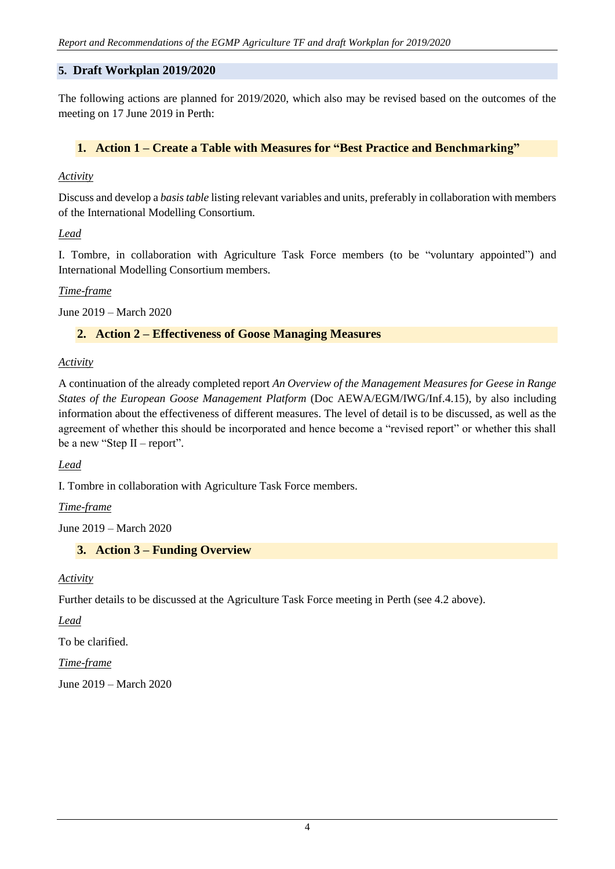### **5. Draft Workplan 2019/2020**

The following actions are planned for 2019/2020, which also may be revised based on the outcomes of the meeting on 17 June 2019 in Perth:

### **1. Action 1 – Create a Table with Measures for "Best Practice and Benchmarking"**

#### *Activity*

Discuss and develop a *basis table* listing relevant variables and units, preferably in collaboration with members of the International Modelling Consortium.

*Lead*

I. Tombre, in collaboration with Agriculture Task Force members (to be "voluntary appointed") and International Modelling Consortium members.

#### *Time-frame*

June 2019 – March 2020

### **2. Action 2 – Effectiveness of Goose Managing Measures**

#### *Activity*

A continuation of the already completed report *An Overview of the Management Measures for Geese in Range States of the European Goose Management Platform* (Doc AEWA/EGM/IWG/Inf.4.15), by also including information about the effectiveness of different measures. The level of detail is to be discussed, as well as the agreement of whether this should be incorporated and hence become a "revised report" or whether this shall be a new "Step II – report".

*Lead*

I. Tombre in collaboration with Agriculture Task Force members.

*Time-frame*

June 2019 – March 2020

# **3. Action 3 – Funding Overview**

*Activity*

Further details to be discussed at the Agriculture Task Force meeting in Perth (see 4.2 above).

*Lead*

To be clarified.

*Time-frame*

June 2019 – March 2020